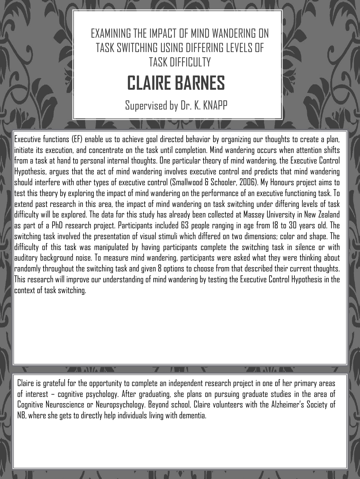

Supervised by Dr. K. KNAPP

Executive functions (EF) enable us to achieve goal directed behavior by organizing our thoughts to create a plan, initiate its execution, and concentrate on the task until completion. Mind wandering occurs when attention shifts from a task at hand to personal internal thoughts. One particular theory of mind wandering, the Executive Control Hypothesis, argues that the act of mind wandering involves executive control and predicts that mind wandering should interfere with other types of executive control (Smallwood & Schooler, 2006). My Honours project aims to test this theory by exploring the impact of mind wandering on the performance of an executive functioning task. To extend past research in this area, the impact of mind wandering on task switching under differing levels of task difficulty will be explored. The data for this study has already been collected at Massey University in New Zealand as part of a PhD research project. Participants included 63 people ranging in age from 18 to 30 years old. The switching task involved the presentation of visual stimuli which differed on two dimensions; color and shape. The difficulty of this task was manipulated by having participants complete the switching task in silence or with auditory background noise. To measure mind wandering, participants were asked what they were thinking about randomly throughout the switching task and given 8 options to choose from that described their current thoughts. This research will improve our understanding of mind wandering by testing the Executive Control Hypothesis in the context of task switching.

Claire is grateful for the opportunity to complete an independent research project in one of her primary areas of interest – cognitive psychology. After graduating, she plans on pursuing graduate studies in the area of Cognitive Neuroscience or Neuropsychology. Beyond school, Claire volunteers with the Alzheimer's Society of NB, where she gets to directly help individuals living with dementia.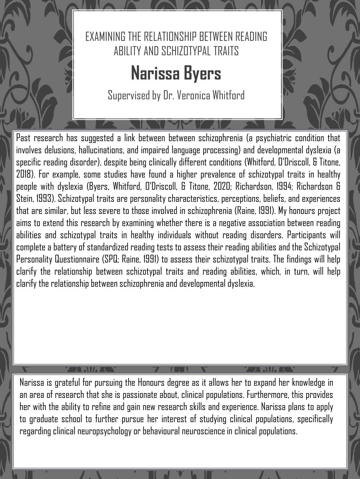

Supervised by Dr. Veronica Whitford

Past research has suggested a link between between schizophrenia (a psychiatric condition that involves delusions, hallucinations, and impaired language processing) and developmental dyslexia (a specific reading disorder), despite being clinically different conditions (Whitford, O'Driscoll, & Titone, 2018). For example, some studies have found a higher prevalence of schizotypal traits in healthy people with dyslexia (Byers, Whitford, O'Driscoll, & Titone, 2020; Richardson, 1994; Richardson & Stein, 1993). Schizotypal traits are personality characteristics, perceptions, beliefs, and experiences that are similar, but less severe to those involved in schizophrenia (Raine, 1991). My honours project aims to extend this research by examining whether there is a negative association between reading abilities and schizotypal traits in healthy individuals without reading disorders. Participants will complete a batteryof standardized reading tests to assess their reading abilities and the Schizotypal Personality Questionnaire (SPQ; Raine, 1991) to assess their schizotypal traits. The findings will help clarify the relationship between schizotypal traits and reading abilities, which, in turn, will help clarify the relationship between schizophrenia and developmental dyslexia.

### **IMMA**

Narissa is grateful for pursuing the Honours degree as it allows her to expand her knowledge in an area of research that she is passionate about, clinical populations. Furthermore, this provides her with the ability to refine and gain new research skills and experience. Narissa plans to apply to graduate school to further pursue her interest of studying clinical populations, specifically regarding clinical neuropsychology or behavioural neuroscience in clinical populations.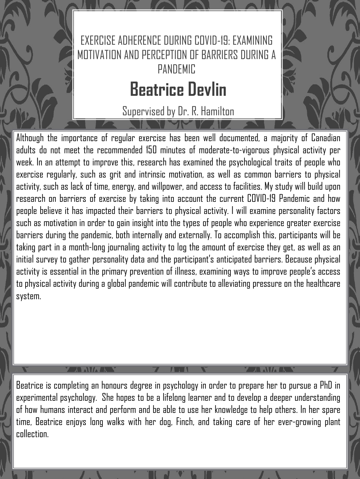

Supervised by Dr. R. Hamilton

Although the importance of regular exercise has been well documented, a majority of Canadian adults do not meet the recommended 150 minutes of moderate-to-vigorous physical activity per week. In an attempt to improve this, research has examined the psychological traits of people who exercise regularly, such as grit and intrinsic motivation, as well as common barriers to physical activity, such as lack of time, energy, and willpower, and access to facilities. My study will build upon research on barriers of exercise by taking into account the current COVID-19 Pandemic and how people believe it has impacted their barriers to physical activity. I will examine personality factors such as motivation in order to gain insight into the types of people who experience greater exercise barriers during the pandemic, both internally and externally. To accomplish this, participants will be taking part in a month-long journaling activity to log the amount of exercise they get, as well as an initial survey to gather personality data and the participant's anticipated barriers. Because physical activity is essential in the primary prevention of illness, examining ways to improve people's access to physical activity during a global pandemic will contribute to alleviating pressure on the healthcare system.

Beatrice is completing an honours degree in psychology in order to prepare her to pursue a PhD in experimental psychology. She hopes to be a lifelong learner and to develop a deeper understanding of how humans interact and perform and be able to use her knowledge to help others. In her spare time, Beatrice enjoys long walks with her dog, Finch, and taking care of her ever-growing plant collection.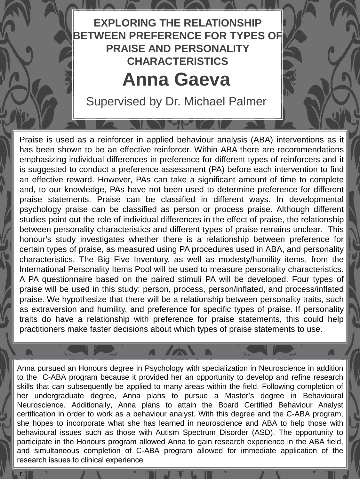## **EXPLORING THE RELATIONSHIP BETWEEN PREFERENCE FOR TYPES OF PRAISE AND PERSONALITY CHARACTERISTICS**

## **Anna Gaeva**

Supervised by Dr. Michael Palmer

Praise is used as a reinforcer in applied behaviour analysis (ABA) interventions as it has been shown to be an effective reinforcer. Within ABA there are recommendations emphasizing individual differences in preference for different types of reinforcers and it is suggested to conduct a preference assessment (PA) before each intervention to find an effective reward. However, PAs can take a significant amount of time to complete and, to our knowledge, PAs have not been used to determine preference for different praise statements. Praise can be classified in different ways. In developmental psychology praise can be classified as person or process praise. Although different studies point out the role of individual differences in the effect of praise, the relationship between personality characteristics and different types of praise remains unclear. This honour's study investigates whether there is a relationship between preference for certain types of praise, as measured using PA procedures used in ABA, and personality characteristics. The Big Five Inventory, as well as modesty/humility items, from the International Personality Items Pool will be used to measure personality characteristics. A PA questionnaire based on the paired stimuli PA will be developed. Four types of praise will be used in this study: person, process, person/inflated, and process/inflated praise. We hypothesize that there will be a relationship between personality traits, such as extraversion and humility, and preference for specific types of praise. If personality traits do have a relationship with preference for praise statements, this could help practitioners make faster decisions about which types of praise statements to use.

Anna pursued an Honours degree in Psychology with specialization in Neuroscience in addition to the C-ABA program because it provided her an opportunity to develop and refine research skills that can subsequently be applied to many areas within the field. Following completion of her undergraduate degree, Anna plans to pursue a Master's degree in Behavioural Neuroscience. Additionally, Anna plans to attain the Board Certified Behaviour Analyst certification in order to work as a behaviour analyst. With this degree and the C-ABA program, she hopes to incorporate what she has learned in neuroscience and ABA to help those with behavioural issues such as those with Autism Spectrum Disorder (ASD). The opportunity to participate in the Honours program allowed Anna to gain research experience in the ABA field, and simultaneous completion of C-ABA program allowed for immediate application of the research issues to clinical experience

r.

 $\bullet$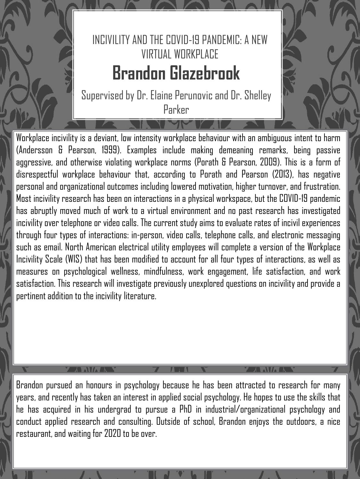## INCIVILITY AND THE COVID-19 PANDEMIC: A NEW VIRTIIAI WORKPLACE **Brandon Glazebrook**

Supervised by Dr. Elaine Perunovicand Dr. Shelley Parker

Workplace incivility is a deviant, low intensity workplace behaviour with an ambiguous intent to harm (Andersson & Pearson, 1999). Examples include making demeaning remarks, being passive aggressive, and otherwise violating workplace norms (Porath & Pearson, 2009). This is a form of disrespectful workplace behaviour that, according to Porath and Pearson (2013), has negative personal and organizational outcomes including lowered motivation, higher turnover, and frustration. Most incivility research has been on interactions in a physical workspace, but the COVID-19 pandemic has abruptly moved much of work to a virtual environment and no past research has investigated incivility over telephone or video calls. The current study aims to evaluate rates of incivil experiences through four types of interactions: in-person, video calls, telephone calls, and electronic messaging such as email. North American electrical utility employees will complete a version of the Workplace Incivility Scale (WIS) that has been modified to account for all four types of interactions, as well as measures on psychological wellness, mindfulness, work engagement, life satisfaction, and work satisfaction. This research will investigate previously unexplored questions on incivility and provide a pertinent addition to the incivility literature.

Brandon pursued an honours in psychology because he has been attracted to research for many years, and recently has taken an interest in applied social psychology. He hopes to use the skills that he has acquired in his undergrad to pursue a PhD in industrial/organizational psychology and conduct applied research and consulting. Outside of school, Brandon enjoys the outdoors, a nice restaurant, and waiting for 2020 to be over.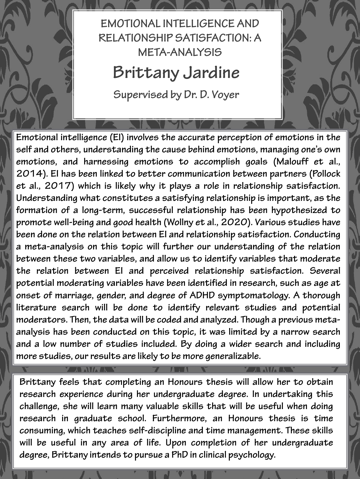### **EMOTIONAL INTELLIGENCE AND RELATIONSHIP SATISFACTION: A META-ANALYSIS**

## **Brittany Jardine**

**Supervised by Dr. D. Voyer**

**Emotional intelligence (EI) involves the accurate perception of emotions in the self and others, understanding the cause behind emotions, managing one's own emotions, and harnessing emotions to accomplish goals (Malouff et al., 2014). EI has been linked to better communication between partners (Pollock et al., 2017) which is likely why it plays a role in relationship satisfaction. Understanding what constitutes a satisfying relationship is important, as the formation of a long-term, successful relationship has been hypothesized to promote well-being and good health (Wollny et al., 2020). Various studies have been done on the relation between EI and relationship satisfaction. Conducting a meta-analysis on this topic will further our understanding of the relation between these two variables, and allow us to identify variables that moderate the relation between EI and perceived relationship satisfaction. Several potential moderating variables have been identified in research, such as age at onset of marriage, gender, and degree of ADHD symptomatology. A thorough literature search will be done to identify relevant studies and potential moderators. Then, the data will be coded and analyzed. Though a previous metaanalysis has been conducted on this topic, it was limited by a narrow search and a low number of studies included. By doing a wider search and including more studies, ourresults are likely to be more generalizable.**

> A AWA A **The N**

**Brittany feels that completing an Honours thesis will allow her to obtain research experience during her undergraduate degree. In undertaking this challenge, she will learn many valuable skills that will be useful when doing research in graduate school. Furthermore, an Honours thesis is time consuming, which teaches self-discipline and time management. These skills will be useful in any area of life. Upon completion of her undergraduate degree, Brittany intends to pursue a PhD in clinical psychology.**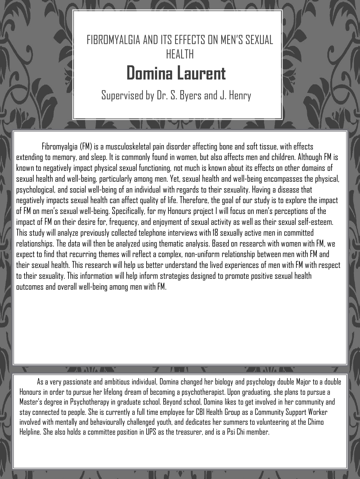

Supervised by Dr. S. Byers and J. Henry

Fibromyalgia (FM) is a musculoskeletal pain disorder affecting bone and soft tissue, with effects extending to memory, and sleep. It is commonly found in women, but also affects men and children. Although FM is known to negatively impact physical sexual functioning, not much is known about its effects on other domains of sexual health and well-being, particularly among men. Yet, sexual health and well-being encompasses the physical, psychological, and social well-being of an individual with regards to their sexuality. Having a disease that negatively impacts sexual health can affect quality of life. Therefore, the goal of our study is to explore the impact of FM on men's sexual well-being. Specifically, for my Honours project I will focus on men's perceptions of the impact of FM on their desire for, frequency, and enjoyment of sexual activity as well as their sexual self-esteem. This study will analyze previously collected telephone interviews with 18 sexually active men in committed relationships. The data will then be analyzed using thematic analysis. Based on research with women with FM, we expect to find that recurring themes will reflect a complex, non-uniform relationship between men with FM and their sexual health. This research will help us better understand the lived experiences of men with FM with respect to their sexuality. This information will help inform strategies designed to promote positive sexual health outcomes and overall well-being among men with FM.

As a very passionate and ambitious individual, Domina changed her biology and psychology double Major to a double Honours in order to pursue her lifelong dream of becoming a psychotherapist. Upon graduating, she plans to pursue a Master's degree in Psychotherapy in graduate school. Beyond school, Domina likes to get involved in her community and stay connected to people. She is currently a full time employee for CBI Health Group as a Community Support Worker involved with mentally and behaviourally challenged youth, and dedicates her summers to volunteering at the Chimo Helpline. She also holds a committee position in UPS as the treasurer, and is a Psi Chi member.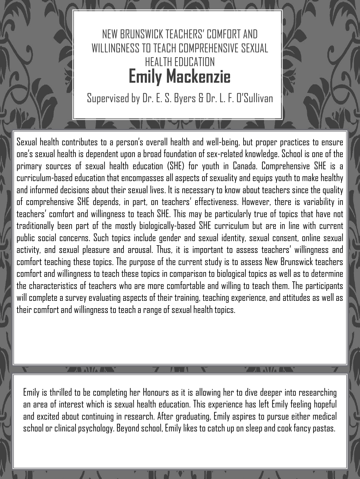

Supervised by Dr. E. S. Byers & Dr. L. F. O'Sullivan

Sexual health contributes to a person's overall health and well-being, but proper practices to ensure one's sexual health is dependent upon a broad foundation of sex-related knowledge. School is one of the primary sources of sexual health education (SHE) for youth in Canada. Comprehensive SHE is a curriculum-based education that encompasses all aspects of sexuality and equips youth to make healthy and informed decisions about their sexual lives. It is necessary to know about teachers since the quality of comprehensive SHE depends, in part, on teachers' effectiveness. However, there is variability in teachers' comfort and willingness to teach SHE. This may be particularly true of topics that have not traditionally been part of the mostly biologically-based SHE curriculum but are in line with current public social concerns. Such topics include gender and sexual identity, sexual consent, online sexual activity, and sexual pleasure and arousal. Thus, it is important to assess teachers' willingness and comfort teaching these topics. The purpose of the current study is to assess New Brunswick teachers comfort and willingness to teach these topics in comparison to biological topics as well as to determine the characteristics of teachers who are more comfortable and willing to teach them. The participants will complete a survey evaluating aspects of their training, teaching experience, and attitudes as well as their comfort and willingness to teach a range of sexual health topics.

Emily is thrilled to be completing her Honours as it is allowing her to dive deeper into researching an area of interest which is sexual health education. This experience has left Emily feeling hopeful and excited about continuing in research. After graduating, Emily aspires to pursue either medical school or clinical psychology. Beyond school, Emily likes to catch up on sleep and cook fancy pastas.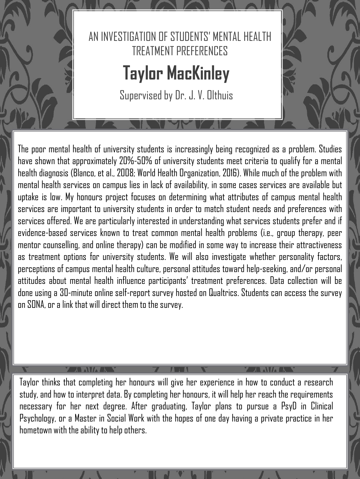

The poor mental health of university students is increasingly being recognized as a problem. Studies have shown that approximately 20%-50% of university students meet criteria to qualify for a mental health diagnosis (Blanco, et al., 2008; World Health Organization, 2016). While much of the problem with mental health services on campus lies in lack of availability, in some cases services are available but uptake is low. My honours project focuses on determining what attributes of campus mental health services are important to university students in order to match student needs and preferences with services offered. We are particularly interested in understanding what services students prefer and if evidence-based services known to treat common mental health problems (i.e., group therapy, peer mentor counselling, and online therapy) can be modified in some way to increase their attractiveness as treatment options for university students. We will also investigate whether personality factors, perceptions of campus mental health culture, personal attitudes toward help-seeking, and/or personal attitudes about mental health influence participants' treatment preferences. Data collection will be done using a 30-minute online self-report survey hosted on Qualtrics. Students can access the survey on SONA, or a link that will direct them to the survey.

Taylor thinks that completing her honours will give her experience in how to conduct a research study, and how to interpret data. By completing her honours, it will help her reach the requirements necessary for her next degree. After graduating, Taylor plans to pursue a PsyD in Clinical Psychology, or a Master in Social Work with the hopes of one day having a private practice in her hometown with the ability to help others.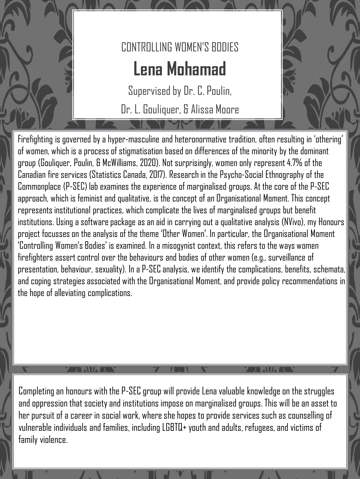

# CONTROLLING WOMEN'S BODIES **Lena Mohamad**

Supervised by Dr. C. Poulin, Dr. L. Gouliquer, & Alissa Moore

Firefighting is governed by a hyper-masculine and heteronormative tradition, often resulting in 'othering' of women, which is a process of stigmatisation based on differences of the minority by the dominant group (Gouliquer, Poulin, & McWilliams, 2020). Not surprisingly, women only represent 4.7% of the Canadian fire services (Statistics Canada, 2017). Research in the Psycho-Social Ethnography of the Commonplace (P-SEC) lab examines the experience of marginalised groups. At the core of the P-SEC approach, which is feminist and qualitative, is the concept of an Organisational Moment. This concept represents institutional practices, which complicate the lives of marginalised groups but benefit institutions. Using a software package as an aid in carrying out a qualitative analysis (NVivo), my Honours project focusses on the analysis of the theme 'Other Women'. In particular, the Organisational Moment 'Controlling Women's Bodies' is examined. In a misogynist context, this refers to the ways women firefighters assert control over the behaviours and bodies of other women (e.g., surveillance of presentation, behaviour, sexuality). In a P-SEC analysis, we identify the complications, benefits, schemata, and coping strategies associated with the Organisational Moment, and provide policy recommendations in the hope of alleviating complications.

Completing an honours with the P-SEC group will provide Lena valuable knowledge on the struggles and oppression that society and institutions impose on marginalised groups. This will be an asset to her pursuit of a career in social work, where she hopes to provide services such as counselling of vulnerable individuals and families, including LGBTQ+ youth and adults, refugees, and victims of family violence.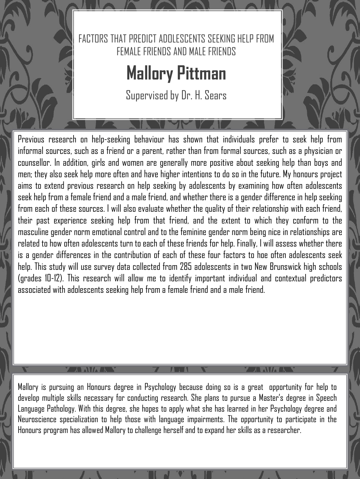

Previous research on help-seeking behaviour has shown that individuals prefer to seek help from informal sources, such as a friend or a parent, rather than from formal sources, such as a physician or counsellor. In addition, girls and women are generally more positive about seeking help than boys and men; they also seek help more often and have higher intentions to do so in the future. My honours project aims to extend previous research on help seeking by adolescents by examining how often adolescents seek help from a female friend and a male friend, and whether there is a gender difference in help seeking from each of these sources. I will also evaluate whether the quality of their relationship with each friend, their past experience seeking help from that friend, and the extent to which they conform to the masculine gender norm emotional control and to the feminine gender norm being nice in relationships are related to how often adolescents turn to each of these friends for help. Finally, I will assess whether there is a gender differences in the contribution of each of these four factors to hoe often adolescents seek help. This study will use survey data collected from 285 adolescents in two New Brunswick high schools (grades 10-12). This research will allow me to identify important individual and contextual predictors associated with adolescents seeking help from a female friend and a male friend.

Mallory is pursuing an Honours degree in Psychology because doing so is a great opportunity for help to develop multiple skills necessary for conducting research. She plans to pursue a Master's degree in Speech Language Pathology. With this degree, she hopes to apply what she has learned in her Psychology degree and Neuroscience specialization to help those with language impairments. The opportunity to participate in the Honours program has allowed Mallory to challenge herself and toexpand her skills as a researcher.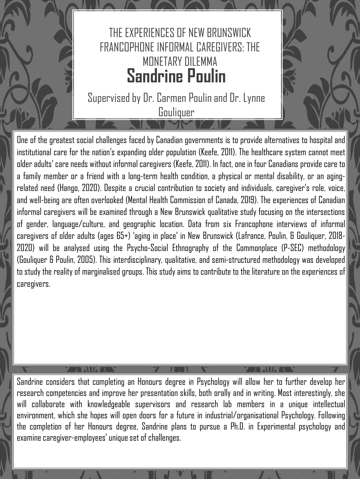THE EXPERIENCES OF NEW BRUNSWICK FRANCOPHONE INFORMAL CAREGIVERS: THE MONETARY DILEMMA **Sandrine Poulin**

Supervised by Dr. Carmen Poulin and Dr. Lynne Gouliquer

One of the greatest social challenges faced by Canadian governments is to provide alternatives to hospital and institutional care for the nation's expanding older population (Keefe, 2011). The healthcare system cannot meet older adults' care needs without informalcaregivers (Keefe,2011). In fact,one in four Canadians provide care to a family member or a friend with a long-term health condition, a physical or mental disability, or an agingrelated need (Hango, 2020). Despite a crucial contribution to society and individuals, caregiver's role, voice, and well-being are often overlooked (Mental Health Commission of Canada, 2019). The experiences of Canadian informal caregivers will be examined through a New Brunswick qualitative study focusing on the intersections of gender, language/culture, and geographic location. Data from six Francophone interviews of informal caregivers of older adults (ages 65+) 'aging in place' in New Brunswick (Lafrance, Poulin, & Gouliquer, 2018- 2020) will be analysed using the Psycho-Social Ethnography of the Commonplace (P-SEC) methodology (Gouliquer & Poulin, 2005). This interdisciplinary, qualitative, and semi-structured methodology was developed to study the reality of marginalised groups. This study aims to contribute to the literature on the experiences of caregivers.

Sandrine considers that completing an Honours degree in Psychology will allow her to further develop her research competencies and improve her presentation skills, both orally and in writing. Most interestingly, she will collaborate with knowledgeable supervisors and research lab members in a unique intellectual environment, which she hopes will open doors for a future in industrial/organisational Psychology. Following the completion of her Honours degree, Sandrine plans to pursue a Ph.D. in Experimental psychology and examine caregiver-employees' unique set of challenges.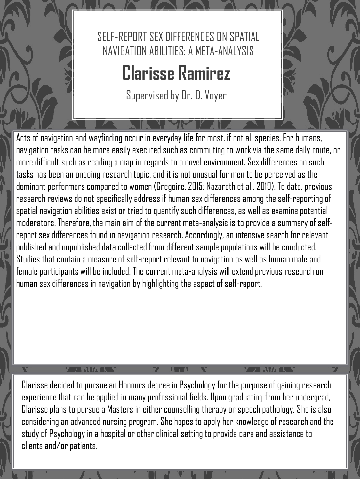

# **Clarisse Ramirez**

Supervised by Dr. D. Voyer

Acts of navigation and wayfinding occur in everyday life for most, if not all species. For humans, navigation tasks can be more easily executed such as commuting to work via the same daily route, or more difficult such as reading a map in regards to a novel environment. Sex differences on such tasks has been an ongoing research topic, and it is not unusual for men to be perceived as the dominant performers compared to women (Gregoire, 2015; Nazareth et al., 2019). To date, previous research reviews do not specifically address if human sex differences among the self-reporting of spatial navigation abilities exist or tried to quantify such differences, as well as examine potential moderators. Therefore, the main aim of the current meta-analysis is to provide a summary of selfreport sex differences found in navigation research. Accordingly, an intensive search for relevant published and unpublished data collected from different sample populations will be conducted. Studies that contain a measure of self-report relevant to navigation as well as human male and female participants will be included. The current meta-analysis will extend previous research on human sex differences in navigation by highlighting the aspect of self-report.

Clarisse decided to pursue an Honours degree in Psychology for the purpose of gaining research experience that can be applied in many professional fields. Upon graduating from her undergrad, Clarisse plans to pursue a Masters in either counselling therapy or speech pathology. She is also considering an advanced nursing program. She hopes to apply her knowledge of research and the study of Psychology in a hospital or other clinical setting to provide care and assistance to clients and/or patients.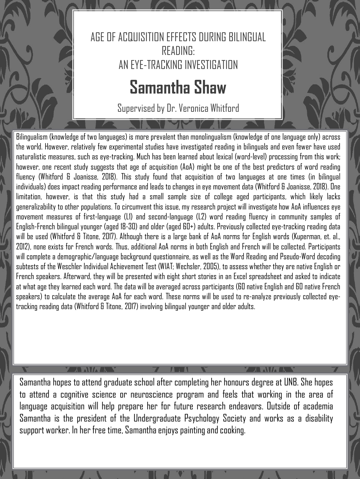

## **Samantha Shaw**

Supervised by Dr. Veronica Whitford

Bilingualism (knowledge of two languages) is more prevalent than monolingualism (knowledge of one language only) across the world. However, relatively few experimental studies have investigated reading in bilinguals and even fewer have used naturalistic measures, such as eye-tracking. Much has been learned about lexical (word-level) processing from this work; however, one recent study suggests that age of acquisition (AoA) might be one of the best predictors of word reading fluency (Whitford & Joanisse, 2018). This study found that acquisition of two languages at one times (in bilingual individuals) does impact reading performance and leads tochanges ineye movement data (Whitford & Joanisse, 2018). One limitation, however, is that this study had a small sample size of college aged participants, which likely lacks generalizability to other populations. To circumvent this issue, my research project will investigate how AoA influences eye movement measures of first-language (L1) and second-language (L2) word reading fluency in community samples of English-French bilingual younger (aged 18-30) and older (aged 60+) adults. Previously collected eye-tracking reading data will be used (Whitford & Titone, 2017). Although there is a large bank of AoA norms for English words (Kuperman, et. al., 2012), none exists for French words. Thus, additional AoA norms in both English and French will be collected. Participants will complete a demographic/language background questionnaire, as well as the Word Reading and Pseudo-Word decoding subtests of the Weschler Individual Achievement Test (WIAT; Wechsler, 2005), to assess whether they are native English or French speakers. Afterward, they will be presented with eight short stories in an Excel spreadsheet and asked to indicate at what age they learned each word. The data will be averaged across participants (60 native English and 60 native French speakers) to calculate the average AoA for each word. These norms will be used to re-analyze previously collected eyetracking reading data (Whitford & Titone, 2017) involving bilingual younger and older adults.

### A AVA R

Samantha hopes to attend graduate school after completing her honours degree at UNB. She hopes to attend a cognitive science or neuroscience program and feels that working in the area of language acquisition will help prepare her for future research endeavors. Outside of academia Samantha is the president of the Undergraduate Psychology Society and works as a disability support worker. In her free time, Samantha enjoys painting and cooking.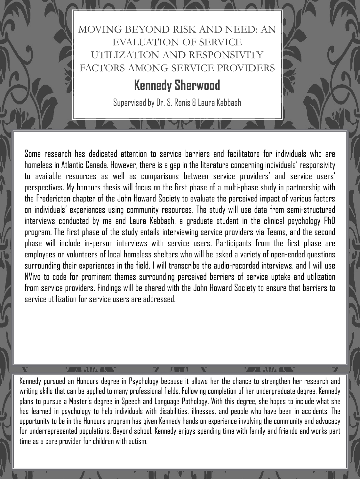### MOVING BEYOND RISK AND NEED: AN EVALUATION OF SERVICE UTILIZATION AND RESPONSIVITY FACTORS AMONG SERVICE PROVIDERS

## **Kennedy Sherwood**

Supervised by Dr. S. Ronis & Laura Kabbash

Some research has dedicated attention to service barriers and facilitators for individuals who are homeless in Atlantic Canada. However, there is a gap in the literature concerning individuals' responsivity to available resources as well as comparisons between service providers' and service users' perspectives. My honours thesis will focus on the first phase of a multi-phase study in partnership with the Fredericton chapter of the John Howard Society to evaluate the perceived impact of various factors on individuals' experiences using community resources. The study will use data from semi-structured interviews conducted by me and Laura Kabbash, a graduate student in the clinical psychology PhD program. The first phase of the study entails interviewing service providers via Teams, and the second phase will include in-person interviews with service users. Participants from the first phase are employees or volunteers of local homeless shelters who will be asked a variety of open-ended questions surrounding their experiences in the field. I will transcribe the audio-recorded interviews, and I will use NVivo to code for prominent themes surrounding perceived barriers of service uptake and utilization from service providers. Findings will be shared with the John Howard Society to ensure that barriers to service utilization for service users are addressed.

Kennedy pursued an Honours degree in Psychology because it allows her the chance to strengthen her research and writing skills that can be applied to many professional fields. Following completion of her undergraduate degree, Kennedy plans to pursue a Master's degree in Speech and Language Pathology. With this degree, she hopes to include what she has learned in psychology to help individuals with disabilities, illnesses, and people who have been in accidents. The opportunity to be in the Honours program has given Kennedy hands on experience involving the community and advocacy for underrepresented populations. Beyond school, Kennedy enjoys spending time with family and friends and works part time as a care provider for children with autism.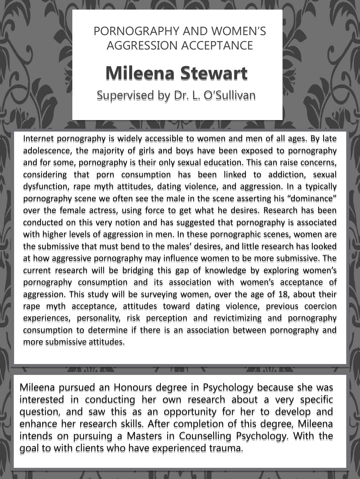## PORNOGRAPHY AND WOMEN'S AGGRESSION ACCEPTANCE

# **Mileena Stewart**

Supervised by Dr. L. O'Sullivan

Internet pornography is widely accessible to women and men of all ages. By late adolescence, the majority of girls and boys have been exposed to pornography and for some, pornography is their only sexual education. This can raise concerns, considering that porn consumption has been linked to addiction, sexual dysfunction, rape myth attitudes, dating violence, and aggression. In a typically pornography scene we often see the male in the scene asserting his "dominance" over the female actress, using force to get what he desires. Research has been conducted on this very notion and has suggested that pornography is associated with higher levels of aggression in men. In these pornographic scenes, women are the submissive that must bend to the males' desires, and little research has looked at how aggressive pornography may influence women to be more submissive. The current research will be bridging this gap of knowledge by exploring women's pornography consumption and its association with women's acceptance of aggression. This study will be surveying women, over the age of 18, about their rape myth acceptance, attitudes toward dating violence, previous coercion experiences, personality, risk perception and revictimizing and pornography consumption to determine if there is an association between pornography and more submissive attitudes.

Mileena pursued an Honours degree in Psychology because she was interested in conducting her own research about a very specific question, and saw this as an opportunity for her to develop and enhance her research skills. After completion of this degree, Mileena intends on pursuing a Masters in Counselling Psychology. With the goal to with clients who have experienced trauma.